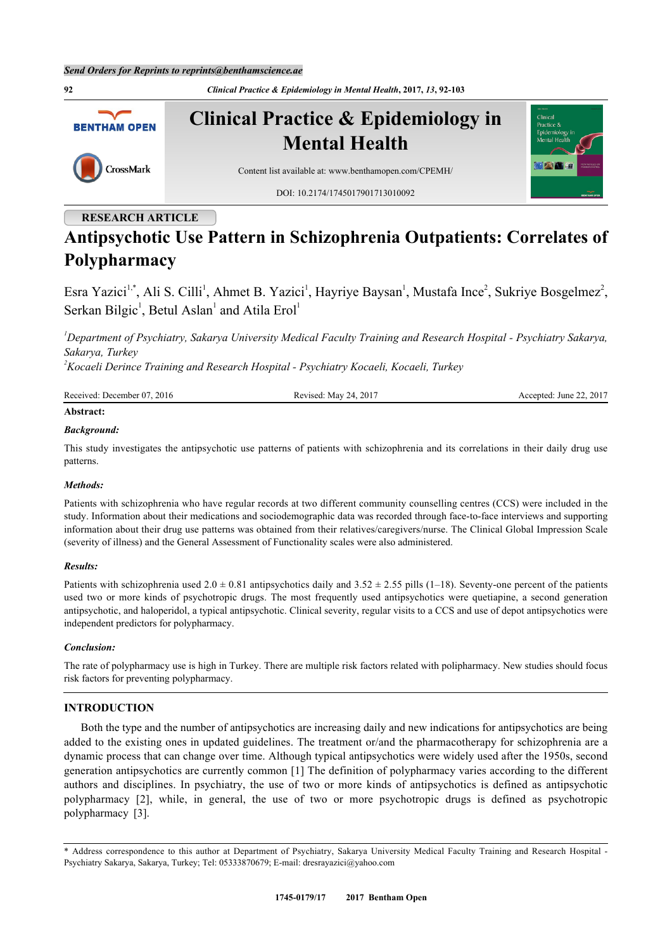

# **RESEARCH ARTICLE**

# **Antipsychotic Use Pattern in Schizophrenia Outpatients: Correlates of Polypharmacy**

Esra Yazici<sup>[1](#page-0-0)[,\\*](#page-0-1)</sup>, Ali S. Cilli<sup>1</sup>, Ahmet B. Yazici<sup>1</sup>, Hayriye Baysan<sup>1</sup>, Mustafa Ince<sup>[2](#page-0-2)</sup>, Sukriye Bosgelmez<sup>2</sup>, Serkan Bilgic<sup>[1](#page-0-0)</sup>, Betul Aslan<sup>1</sup> and Atila Erol<sup>1</sup>

<span id="page-0-0"></span>*<sup>1</sup>Department of Psychiatry, Sakarya University Medical Faculty Training and Research Hospital - Psychiatry Sakarya, Sakarya, Turkey*

<span id="page-0-2"></span>*<sup>2</sup>Kocaeli Derince Training and Research Hospital - Psychiatry Kocaeli, Kocaeli, Turkey*

| Received: December 07, 2016 | Revised: May 24, 2017 | Accepted: June 22, 2017 |
|-----------------------------|-----------------------|-------------------------|
| Abstract:                   |                       |                         |

# *Background:*

This study investigates the antipsychotic use patterns of patients with schizophrenia and its correlations in their daily drug use patterns.

#### *Methods:*

Patients with schizophrenia who have regular records at two different community counselling centres (CCS) were included in the study. Information about their medications and sociodemographic data was recorded through face-to-face interviews and supporting information about their drug use patterns was obtained from their relatives/caregivers/nurse. The Clinical Global Impression Scale (severity of illness) and the General Assessment of Functionality scales were also administered.

#### *Results:*

Patients with schizophrenia used  $2.0 \pm 0.81$  antipsychotics daily and  $3.52 \pm 2.55$  pills (1–18). Seventy-one percent of the patients used two or more kinds of psychotropic drugs. The most frequently used antipsychotics were quetiapine, a second generation antipsychotic, and haloperidol, a typical antipsychotic. Clinical severity, regular visits to a CCS and use of depot antipsychotics were independent predictors for polypharmacy.

#### *Conclusion:*

The rate of polypharmacy use is high in Turkey. There are multiple risk factors related with polipharmacy. New studies should focus risk factors for preventing polypharmacy.

## **INTRODUCTION**

Both the type and the number of antipsychotics are increasing daily and new indications for antipsychotics are being added to the existing ones in updated guidelines. The treatment or/and the pharmacotherapy for schizophrenia are a dynamic process that can change over time. Although typical antipsychotics were widely used after the 1950s, second generation antipsychotics are currently common [\[1](#page-8-0)] The definition of polypharmacy varies according to the different authors and disciplines. In psychiatry, the use of two or more kinds of antipsychotics is defined as antipsychotic polypharmacy[[2](#page-8-1)], while, in general, the use of two or more psychotropic drugs is defined as psychotropic polypharmacy[[3\]](#page-8-2).

<span id="page-0-1"></span><sup>\*</sup> Address correspondence to this author at Department of Psychiatry, Sakarya University Medical Faculty Training and Research Hospital - Psychiatry Sakarya, Sakarya, Turkey; Tel: 05333870679; E-mail: [dresrayazici@yahoo.com](mailto:dresrayazici@yahoo.com)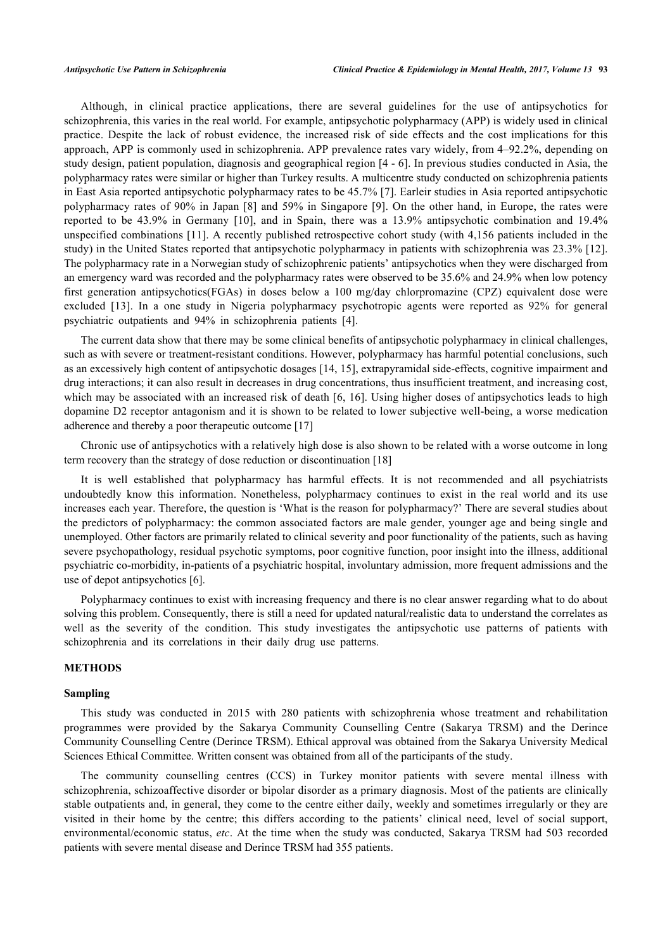Although, in clinical practice applications, there are several guidelines for the use of antipsychotics for schizophrenia, this varies in the real world. For example, antipsychotic polypharmacy (APP) is widely used in clinical practice. Despite the lack of robust evidence, the increased risk of side effects and the cost implications for this approach, APP is commonly used in schizophrenia. APP prevalence rates vary widely, from 4–92.2%, depending on study design, patient population, diagnosis and geographical region [[4](#page-8-3) - [6](#page-8-4)]. In previous studies conducted in Asia, the polypharmacy rates were similar or higher than Turkey results. A multicentre study conducted on schizophrenia patients in East Asia reported antipsychotic polypharmacy rates to be 45.7% [[7\]](#page-9-0). Earleir studies in Asia reported antipsychotic polypharmacy rates of 90% in Japan [\[8](#page-9-1)] and 59% in Singapore [[9](#page-9-2)]. On the other hand, in Europe, the rates were reported to be 43.9% in Germany[[10](#page-9-3)], and in Spain, there was a 13.9% antipsychotic combination and 19.4% unspecified combinations [[11](#page-9-4)]. A recently published retrospective cohort study (with 4,156 patients included in the study) in the United States reported that antipsychotic polypharmacy in patients with schizophrenia was 23.3% [\[12\]](#page-9-5). The polypharmacy rate in a Norwegian study of schizophrenic patients' antipsychotics when they were discharged from an emergency ward was recorded and the polypharmacy rates were observed to be 35.6% and 24.9% when low potency first generation antipsychotics(FGAs) in doses below a 100 mg/day chlorpromazine (CPZ) equivalent dose were excluded[[13\]](#page-9-6). In a one study in Nigeria polypharmacy psychotropic agents were reported as 92% for general psychiatric outpatients and 94% in schizophrenia patients [\[4](#page-8-3)].

The current data show that there may be some clinical benefits of antipsychotic polypharmacy in clinical challenges, such as with severe or treatment-resistant conditions. However, polypharmacy has harmful potential conclusions, such as an excessively high content of antipsychotic dosages [\[14](#page-9-7), [15\]](#page-9-8), extrapyramidal side-effects, cognitive impairment and drug interactions; it can also result in decreases in drug concentrations, thus insufficient treatment, and increasing cost, which may be associated with an increased risk of death [[6,](#page-8-4) [16\]](#page-9-9). Using higher doses of antipsychotics leads to high dopamine D2 receptor antagonism and it is shown to be related to lower subjective well-being, a worse medication adherence and thereby a poor therapeutic outcome [\[17](#page-9-10)]

Chronic use of antipsychotics with a relatively high dose is also shown to be related with a worse outcome in long term recovery than the strategy of dose reduction or discontinuation [[18\]](#page-9-11)

It is well established that polypharmacy has harmful effects. It is not recommended and all psychiatrists undoubtedly know this information. Nonetheless, polypharmacy continues to exist in the real world and its use increases each year. Therefore, the question is 'What is the reason for polypharmacy?' There are several studies about the predictors of polypharmacy: the common associated factors are male gender, younger age and being single and unemployed. Other factors are primarily related to clinical severity and poor functionality of the patients, such as having severe psychopathology, residual psychotic symptoms, poor cognitive function, poor insight into the illness, additional psychiatric co-morbidity, in-patients of a psychiatric hospital, involuntary admission, more frequent admissions and the use of depot antipsychotics [\[6](#page-8-4)].

Polypharmacy continues to exist with increasing frequency and there is no clear answer regarding what to do about solving this problem. Consequently, there is still a need for updated natural/realistic data to understand the correlates as well as the severity of the condition. This study investigates the antipsychotic use patterns of patients with schizophrenia and its correlations in their daily drug use patterns.

#### **METHODS**

#### **Sampling**

This study was conducted in 2015 with 280 patients with schizophrenia whose treatment and rehabilitation programmes were provided by the Sakarya Community Counselling Centre (Sakarya TRSM) and the Derince Community Counselling Centre (Derince TRSM). Ethical approval was obtained from the Sakarya University Medical Sciences Ethical Committee. Written consent was obtained from all of the participants of the study.

The community counselling centres (CCS) in Turkey monitor patients with severe mental illness with schizophrenia, schizoaffective disorder or bipolar disorder as a primary diagnosis. Most of the patients are clinically stable outpatients and, in general, they come to the centre either daily, weekly and sometimes irregularly or they are visited in their home by the centre; this differs according to the patients' clinical need, level of social support, environmental/economic status, *etc*. At the time when the study was conducted, Sakarya TRSM had 503 recorded patients with severe mental disease and Derince TRSM had 355 patients.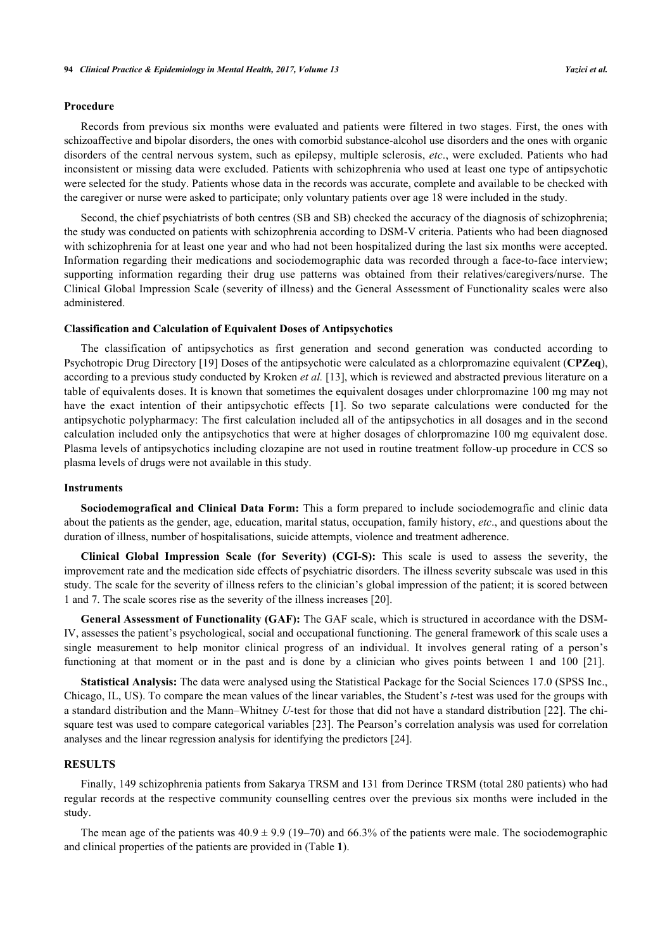#### **Procedure**

Records from previous six months were evaluated and patients were filtered in two stages. First, the ones with schizoaffective and bipolar disorders, the ones with comorbid substance-alcohol use disorders and the ones with organic disorders of the central nervous system, such as epilepsy, multiple sclerosis, *etc*., were excluded. Patients who had inconsistent or missing data were excluded. Patients with schizophrenia who used at least one type of antipsychotic were selected for the study. Patients whose data in the records was accurate, complete and available to be checked with the caregiver or nurse were asked to participate; only voluntary patients over age 18 were included in the study.

Second, the chief psychiatrists of both centres (SB and SB) checked the accuracy of the diagnosis of schizophrenia; the study was conducted on patients with schizophrenia according to DSM-V criteria. Patients who had been diagnosed with schizophrenia for at least one year and who had not been hospitalized during the last six months were accepted. Information regarding their medications and sociodemographic data was recorded through a face-to-face interview; supporting information regarding their drug use patterns was obtained from their relatives/caregivers/nurse. The Clinical Global Impression Scale (severity of illness) and the General Assessment of Functionality scales were also administered.

#### **Classification and Calculation of Equivalent Doses of Antipsychotics**

The classification of antipsychotics as first generation and second generation was conducted according to Psychotropic Drug Directory [[19\]](#page-9-12) Doses of the antipsychotic were calculated as a chlorpromazine equivalent (**CPZeq**), according to a previous study conducted by Kroken *et al.* [[13\]](#page-9-6), which is reviewed and abstracted previous literature on a table of equivalents doses. It is known that sometimes the equivalent dosages under chlorpromazine 100 mg may not have the exact intention of their antipsychotic effects[[1](#page-8-0)]. So two separate calculations were conducted for the antipsychotic polypharmacy: The first calculation included all of the antipsychotics in all dosages and in the second calculation included only the antipsychotics that were at higher dosages of chlorpromazine 100 mg equivalent dose. Plasma levels of antipsychotics including clozapine are not used in routine treatment follow-up procedure in CCS so plasma levels of drugs were not available in this study.

#### **Instruments**

**Sociodemografical and Clinical Data Form:** This a form prepared to include sociodemografic and clinic data about the patients as the gender, age, education, marital status, occupation, family history, *etc*., and questions about the duration of illness, number of hospitalisations, suicide attempts, violence and treatment adherence.

**Clinical Global Impression Scale (for Severity) (CGI-S):** This scale is used to assess the severity, the improvement rate and the medication side effects of psychiatric disorders. The illness severity subscale was used in this study. The scale for the severity of illness refers to the clinician's global impression of the patient; it is scored between 1 and 7. The scale scores rise as the severity of the illness increases [[20\]](#page-9-13).

**General Assessment of Functionality (GAF):** The GAF scale, which is structured in accordance with the DSM-IV, assesses the patient's psychological, social and occupational functioning. The general framework of this scale uses a single measurement to help monitor clinical progress of an individual. It involves general rating of a person's functioning at that moment or in the past and is done by a clinician who gives points between 1 and 100 [\[21](#page-9-14)].

**Statistical Analysis:** The data were analysed using the Statistical Package for the Social Sciences 17.0 (SPSS Inc., Chicago, IL, US). To compare the mean values of the linear variables, the Student's *t*-test was used for the groups with a standard distribution and the Mann–Whitney *U*-test for those that did not have a standard distribution [\[22\]](#page-9-15). The chisquare test was used to compare categorical variables [[23\]](#page-9-16). The Pearson's correlation analysis was used for correlation analyses and the linear regression analysis for identifying the predictors [\[24](#page-9-17)].

#### **RESULTS**

Finally, 149 schizophrenia patients from Sakarya TRSM and 131 from Derince TRSM (total 280 patients) who had regular records at the respective community counselling centres over the previous six months were included in the study.

<span id="page-2-0"></span>The mean age of the patients was  $40.9 \pm 9.9$  (19–70) and 66.3% of the patients were male. The sociodemographic and clinical properties of the patients are provided in (Table **[1](#page-2-0)**).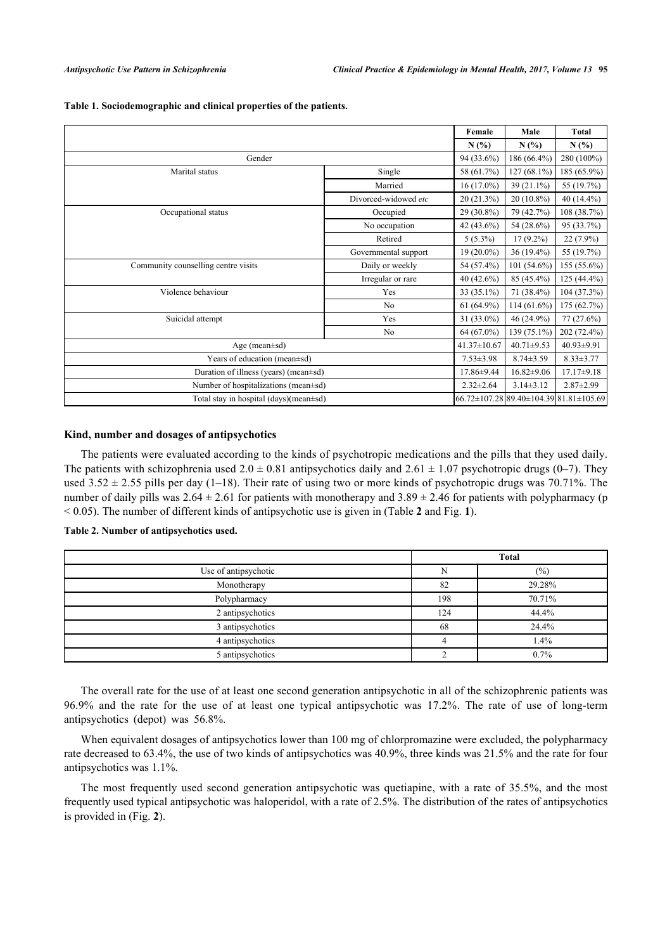|                                              |                      | Female            | Male                                   | <b>Total</b>     |
|----------------------------------------------|----------------------|-------------------|----------------------------------------|------------------|
|                                              |                      | N(%)              | N(%)                                   | N(%)             |
| Gender                                       |                      | 94 (33.6%)        | 186 (66.4%)                            | 280 (100%)       |
| Marital status                               | Single               | 58 (61.7%)        | 127 (68.1%)                            | 185 (65.9%)      |
|                                              | Married              | $16(17.0\%)$      | $39(21.1\%)$                           | 55 (19.7%)       |
|                                              | Divorced-widowed etc | $20(21.3\%)$      | $20(10.8\%)$                           | $40(14.4\%)$     |
| Occupational status                          | Occupied             | 29 (30.8%)        | 79 (42.7%)                             | 108 (38.7%)      |
|                                              | No occupation        | 42 (43.6%)        | 54 (28.6%)                             | 95 (33.7%)       |
|                                              | Retired              | $5(5.3\%)$        | $17(9.2\%)$                            | $22(7.9\%)$      |
|                                              | Governmental support | $19(20.0\%)$      | $36(19.4\%)$                           | 55 (19.7%)       |
| Community counselling centre visits          | Daily or weekly      | 54 (57.4%)        | 101 (54.6%)                            | 155 (55.6%)      |
|                                              | Irregular or rare    | 40 (42.6%)        | 85 (45.4%)                             | $125(44.4\%)$    |
| Violence behaviour                           | Yes                  | 33 (35.1%)        | 71 (38.4%)                             | 104 (37.3%)      |
|                                              | N <sub>0</sub>       | $61(64.9\%)$      | $114(61.6\%)$                          | 175 (62.7%)      |
| Suicidal attempt                             | Yes                  | 31 (33.0%)        | 46 (24.9%)                             | $77(27.6\%)$     |
|                                              | No                   | 64 (67.0%)        | 139 (75.1%)                            | 202 (72.4%)      |
| Age (mean $\pm$ sd)                          |                      | $41.37 \pm 10.67$ | $40.71 \pm 9.53$                       | 40.93±9.91       |
| Years of education (mean±sd)                 |                      |                   | $8.74 \pm 3.59$                        | $8.33 \pm 3.77$  |
| Duration of illness (years) (mean±sd)        |                      |                   | $16.82 \pm 9.06$                       | $17.17 \pm 9.18$ |
| Number of hospitalizations (mean±sd)         |                      | $2.32 \pm 2.64$   | $3.14 \pm 3.12$                        | $2.87 \pm 2.99$  |
| Total stay in hospital $(days)(mean \pm sd)$ |                      |                   | 66.72±107.28 89.40±104.39 81.81±105.69 |                  |

**Table 1. Sociodemographic and clinical properties of the patients.**

#### **Kind, number and dosages of antipsychotics**

The patients were evaluated according to the kinds of psychotropic medications and the pills that they used daily. The patients with schizophrenia used  $2.0 \pm 0.81$  antipsychotics daily and  $2.61 \pm 1.07$  psychotropic drugs (0–7). They used  $3.52 \pm 2.55$  pills per day (1–18). Their rate of using two or more kinds of psychotropic drugs was 70.71%. The number of daily pills was  $2.64 \pm 2.61$  for patients with monotherapy and  $3.89 \pm 2.46$  for patients with polypharmacy (p < 0.05). The number of different kinds of antipsychotic use is given in (Table **[2](#page-3-0)** and Fig. **[1](#page-3-1)**).

#### <span id="page-3-0"></span>**Table 2. Number of antipsychotics used.**

|                      | <b>Total</b> |        |  |
|----------------------|--------------|--------|--|
| Use of antipsychotic | N            | (%)    |  |
| Monotherapy          | 82           | 29.28% |  |
| Polypharmacy         | 198          | 70.71% |  |
| 2 antipsychotics     | 124          | 44.4%  |  |
| 3 antipsychotics     | 68           | 24.4%  |  |
| 4 antipsychotics     |              | 1.4%   |  |
| 5 antipsychotics     |              | 0.7%   |  |

The overall rate for the use of at least one second generation antipsychotic in all of the schizophrenic patients was 96.9% and the rate for the use of at least one typical antipsychotic was 17.2%. The rate of use of long-term antipsychotics (depot) was 56.8%.

When equivalent dosages of antipsychotics lower than 100 mg of chlorpromazine were excluded, the polypharmacy rate decreased to 63.4%, the use of two kinds of antipsychotics was 40.9%, three kinds was 21.5% and the rate for four antipsychotics was 1.1%.

<span id="page-3-1"></span>The most frequently used second generation antipsychotic was quetiapine, with a rate of 35.5%, and the most frequently used typical antipsychotic was haloperidol, with a rate of 2.5%. The distribution of the rates of antipsychotics is provided in (Fig. **[2](#page-4-0)**).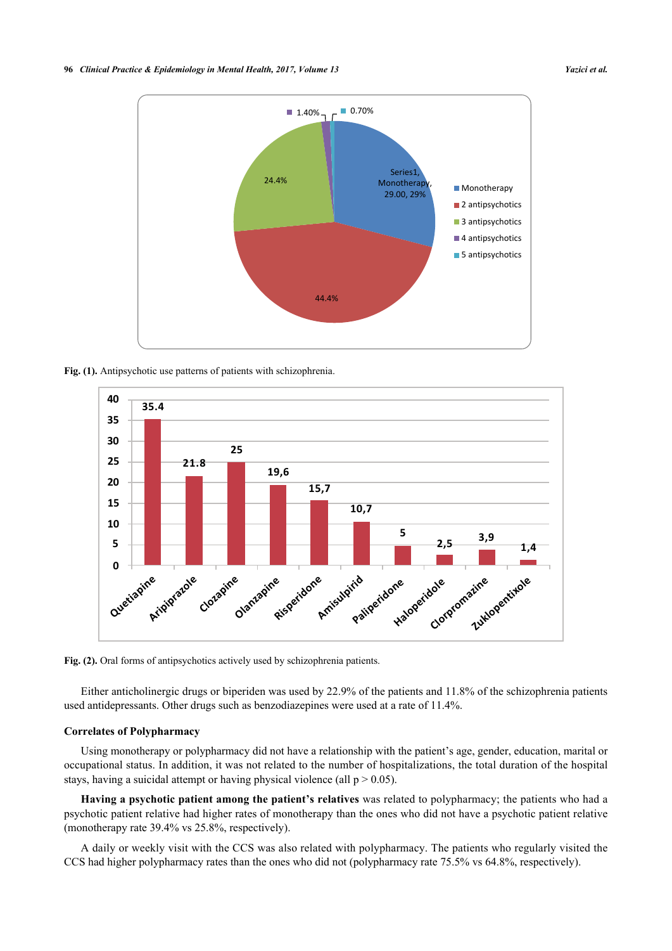

<span id="page-4-0"></span>**Fig. (1).** Antipsychotic use patterns of patients with schizophrenia.



Fig. (2). Oral forms of antipsychotics actively used by schizophrenia patients.

Either anticholinergic drugs or biperiden was used by 22.9% of the patients and 11.8% of the schizophrenia patients used antidepressants. Other drugs such as benzodiazepines were used at a rate of 11.4%.

#### **Correlates of Polypharmacy**

Using monotherapy or polypharmacy did not have a relationship with the patient's age, gender, education, marital or occupational status. In addition, it was not related to the number of hospitalizations, the total duration of the hospital stays, having a suicidal attempt or having physical violence (all  $p > 0.05$ ).

**Having a psychotic patient among the patient's relatives** was related to polypharmacy; the patients who had a psychotic patient relative had higher rates of monotherapy than the ones who did not have a psychotic patient relative (monotherapy rate 39.4% vs 25.8%, respectively).

A daily or weekly visit with the CCS was also related with polypharmacy. The patients who regularly visited the CCS had higher polypharmacy rates than the ones who did not (polypharmacy rate 75.5% vs 64.8%, respectively).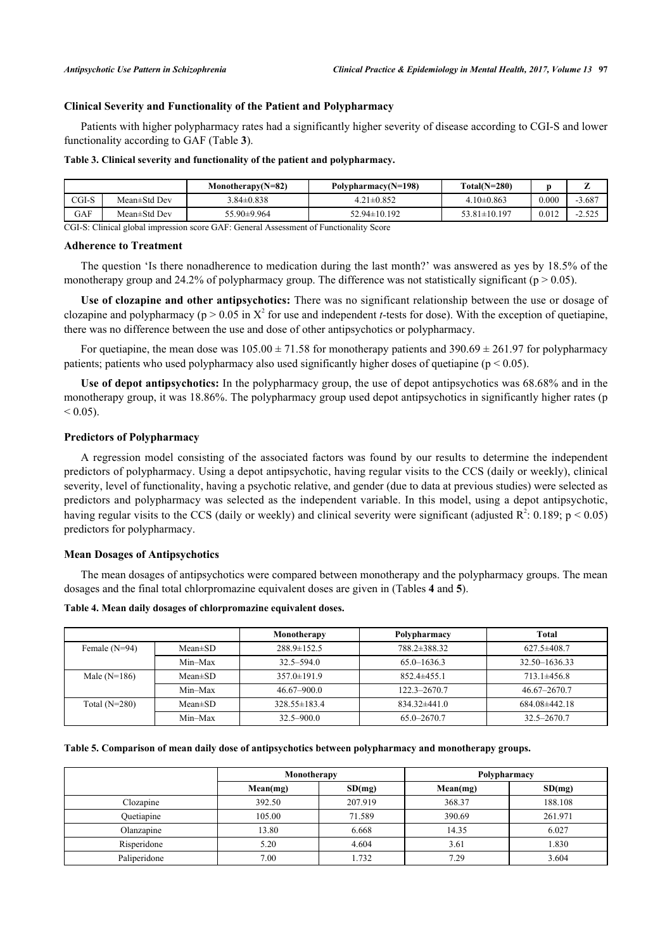#### **Clinical Severity and Functionality of the Patient and Polypharmacy**

Patients with higher polypharmacy rates had a significantly higher severity of disease according to CGI-S and lower functionality according to GAF (Table **[3](#page-5-0)**).

#### <span id="page-5-0"></span>**Table 3. Clinical severity and functionality of the patient and polypharmacy.**

|            |              | Monotherapy $(N=82)$ | Polypharmacy( $N=198$ ) | $Total(N=280)$     |       |                 |
|------------|--------------|----------------------|-------------------------|--------------------|-------|-----------------|
| $CGI-S$    | Mean±Std Dev | $3.84 \pm 0.838$     | $4.21 \pm 0.852$        | $4.10\pm0.863$     | 0.000 | $-3.68^{\circ}$ |
| <b>GAF</b> | Mean±Std Dev | 55.90±9.964          | $52.94 \pm 10.192$      | $53.81 \pm 10.197$ | 0.012 | -4.34.          |

CGI-S: Clinical global impression score GAF: General Assessment of Functionality Score

#### **Adherence to Treatment**

The question 'Is there nonadherence to medication during the last month?' was answered as yes by 18.5% of the monotherapy group and 24.2% of polypharmacy group. The difference was not statistically significant ( $p > 0.05$ ).

**Use of clozapine and other antipsychotics:** There was no significant relationship between the use or dosage of clozapine and polypharmacy ( $p > 0.05$  in  $X^2$  for use and independent *t*-tests for dose). With the exception of quetiapine, there was no difference between the use and dose of other antipsychotics or polypharmacy.

For quetiapine, the mean dose was  $105.00 \pm 71.58$  for monotherapy patients and  $390.69 \pm 261.97$  for polypharmacy patients; patients who used polypharmacy also used significantly higher doses of quetiapine ( $p < 0.05$ ).

**Use of depot antipsychotics:** In the polypharmacy group, the use of depot antipsychotics was 68.68% and in the monotherapy group, it was 18.86%. The polypharmacy group used depot antipsychotics in significantly higher rates (p  $< 0.05$ ).

#### **Predictors of Polypharmacy**

A regression model consisting of the associated factors was found by our results to determine the independent predictors of polypharmacy. Using a depot antipsychotic, having regular visits to the CCS (daily or weekly), clinical severity, level of functionality, having a psychotic relative, and gender (due to data at previous studies) were selected as predictors and polypharmacy was selected as the independent variable. In this model, using a depot antipsychotic, having regular visits to the CCS (daily or weekly) and clinical severity were significant (adjusted  $R^2$ : 0.189; p < 0.05) predictors for polypharmacy.

#### **Mean Dosages of Antipsychotics**

The mean dosages of antipsychotics were compared between monotherapy and the polypharmacy groups. The mean dosages and the final total chlorpromazine equivalent doses are given in (Tables **[4](#page-5-1)** and **[5](#page-5-2)**).

<span id="page-5-1"></span>**Table 4. Mean daily dosages of chlorpromazine equivalent doses.**

|                 |               | Monotherapy        | Polypharmacy     | Total             |
|-----------------|---------------|--------------------|------------------|-------------------|
| Female $(N=94)$ | $Mean \pm SD$ | $288.9 \pm 152.5$  | 788.2±388.32     | $627.5 \pm 408.7$ |
|                 | Min-Max       | $32.5 - 594.0$     | $65.0 - 1636.3$  | 32.50-1636.33     |
| Male $(N=186)$  | $Mean \pm SD$ | $357.0 \pm 191.9$  | $852.4\pm455.1$  | $713.1 \pm 456.8$ |
|                 | Min-Max       | $46.67 - 900.0$    | $122.3 - 2670.7$ | 46.67-2670.7      |
| Total $(N=280)$ | $Mean \pm SD$ | $328.55 \pm 183.4$ | $834.32\pm441.0$ | 684.08±442.18     |
|                 | Min-Max       | $32.5 - 900.0$     | $65.0 - 2670.7$  | $32.5 - 2670.7$   |

#### <span id="page-5-2"></span>**Table 5. Comparison of mean daily dose of antipsychotics between polypharmacy and monotherapy groups.**

|              | Monotherapy |         | Polypharmacy |         |  |
|--------------|-------------|---------|--------------|---------|--|
|              | Mean(mg)    | SD(mg)  | Mean(mg)     | SD(mq)  |  |
| Clozapine    | 392.50      | 207.919 | 368.37       | 188.108 |  |
| Quetiapine   | 105.00      | 71.589  | 390.69       | 261.971 |  |
| Olanzapine   | 13.80       | 6.668   | 14.35        | 6.027   |  |
| Risperidone  | 5.20        | 4.604   | 3.61         | 1.830   |  |
| Paliperidone | 7.00        | 1.732   | 7.29         | 3.604   |  |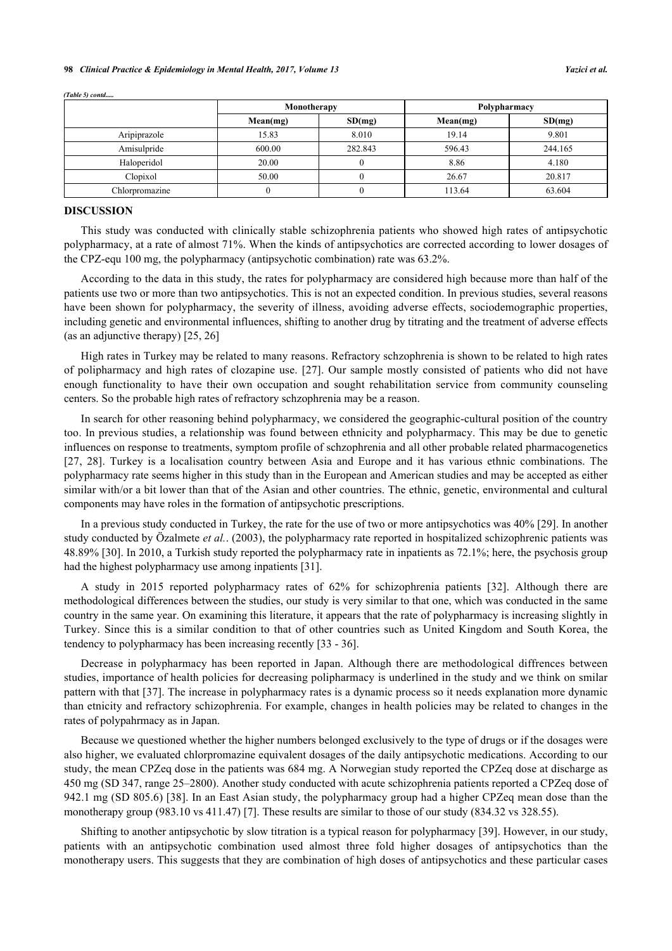#### **98** *Clinical Practice & Epidemiology in Mental Health, 2017, Volume 13 Yazici et al.*

|                | Monotherapy |         | Polypharmacy |         |  |
|----------------|-------------|---------|--------------|---------|--|
|                | Mean(mg)    | SD(mg)  | Mean(mg)     | SD(mq)  |  |
| Aripiprazole   | 15.83       | 8.010   | 19.14        | 9.801   |  |
| Amisulpride    | 600.00      | 282.843 | 596.43       | 244.165 |  |
| Haloperidol    | 20.00       |         | 8.86         | 4.180   |  |
| Clopixol       | 50.00       |         | 26.67        | 20.817  |  |
| Chlorpromazine |             |         | 113.64       | 63.604  |  |

*(Table 5) contd.....*

#### **DISCUSSION**

This study was conducted with clinically stable schizophrenia patients who showed high rates of antipsychotic polypharmacy, at a rate of almost 71%. When the kinds of antipsychotics are corrected according to lower dosages of the CPZ-equ 100 mg, the polypharmacy (antipsychotic combination) rate was 63.2%.

According to the data in this study, the rates for polypharmacy are considered high because more than half of the patients use two or more than two antipsychotics. This is not an expected condition. In previous studies, several reasons have been shown for polypharmacy, the severity of illness, avoiding adverse effects, sociodemographic properties, including genetic and environmental influences, shifting to another drug by titrating and the treatment of adverse effects (as an adjunctive therapy) [\[25](#page-9-18), [26](#page-9-19)]

High rates in Turkey may be related to many reasons. Refractory schzophrenia is shown to be related to high rates of polipharmacy and high rates of clozapine use. [[27](#page-9-20)]. Our sample mostly consisted of patients who did not have enough functionality to have their own occupation and sought rehabilitation service from community counseling centers. So the probable high rates of refractory schzophrenia may be a reason.

In search for other reasoning behind polypharmacy, we considered the geographic-cultural position of the country too. In previous studies, a relationship was found between ethnicity and polypharmacy. This may be due to genetic influences on response to treatments, symptom profile of schzophrenia and all other probable related pharmacogenetics [\[27](#page-9-20), [28](#page-10-0)]. Turkey is a localisation country between Asia and Europe and it has various ethnic combinations. The polypharmacy rate seems higher in this study than in the European and American studies and may be accepted as either similar with/or a bit lower than that of the Asian and other countries. The ethnic, genetic, environmental and cultural components may have roles in the formation of antipsychotic prescriptions.

In a previous study conducted in Turkey, the rate for the use of two or more antipsychotics was 40% [\[29](#page-10-1)]. In another study conducted by Özalmete *et al.*. (2003), the polypharmacy rate reported in hospitalized schizophrenic patients was 48.89% [[30\]](#page-10-2). In 2010, a Turkish study reported the polypharmacy rate in inpatients as 72.1%; here, the psychosis group had the highest polypharmacy use among inpatients [[31\]](#page-10-3).

A study in 2015 reported polypharmacy rates of 62% for schizophrenia patients [\[32](#page-10-4)]. Although there are methodological differences between the studies, our study is very similar to that one, which was conducted in the same country in the same year. On examining this literature, it appears that the rate of polypharmacy is increasing slightly in Turkey. Since this is a similar condition to that of other countries such as United Kingdom and South Korea, the tendency to polypharmacy has been increasing recently [\[33](#page-10-5) - [36](#page-10-6)].

Decrease in polypharmacy has been reported in Japan. Although there are methodological diffrences between studies, importance of health policies for decreasing polipharmacy is underlined in the study and we think on smilar pattern with that [[37\]](#page-10-7). The increase in polypharmacy rates is a dynamic process so it needs explanation more dynamic than etnicity and refractory schizophrenia. For example, changes in health policies may be related to changes in the rates of polypahrmacy as in Japan.

Because we questioned whether the higher numbers belonged exclusively to the type of drugs or if the dosages were also higher, we evaluated chlorpromazine equivalent dosages of the daily antipsychotic medications. According to our study, the mean CPZeq dose in the patients was 684 mg. A Norwegian study reported the CPZeq dose at discharge as 450 mg (SD 347, range 25–2800). Another study conducted with acute schizophrenia patients reported a CPZeq dose of 942.1 mg (SD 805.6) [[38](#page-10-8)]. In an East Asian study, the polypharmacy group had a higher CPZeq mean dose than the monotherapy group (983.10 vs 411.47) [\[7](#page-9-0)]. These results are similar to those of our study (834.32 vs 328.55).

Shifting to another antipsychotic by slow titration is a typical reason for polypharmacy [[39\]](#page-10-9). However, in our study, patients with an antipsychotic combination used almost three fold higher dosages of antipsychotics than the monotherapy users. This suggests that they are combination of high doses of antipsychotics and these particular cases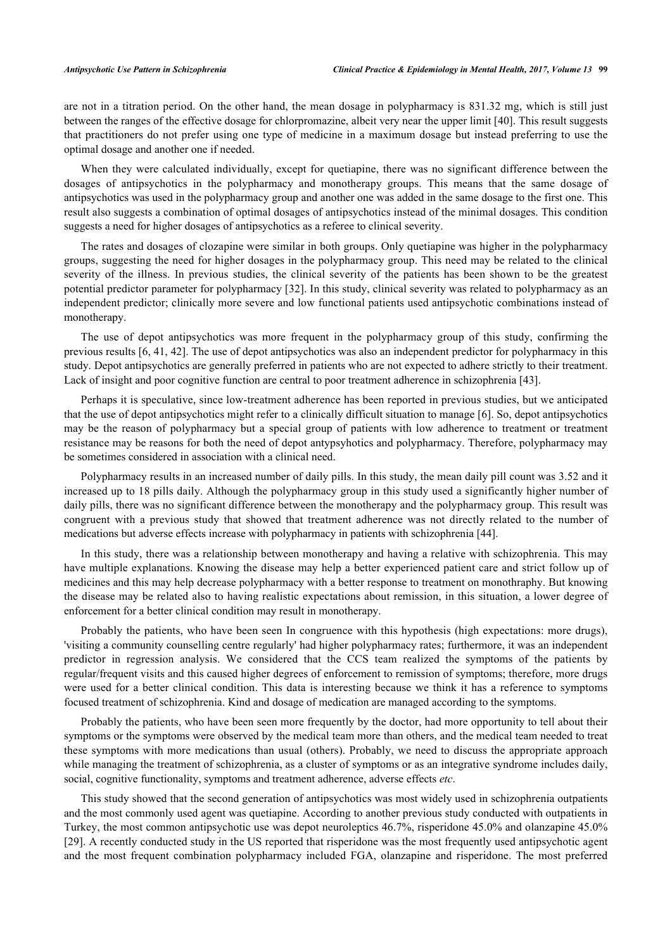are not in a titration period. On the other hand, the mean dosage in polypharmacy is 831.32 mg, which is still just between the ranges of the effective dosage for chlorpromazine, albeit very near the upper limit [\[40](#page-10-10)]. This result suggests that practitioners do not prefer using one type of medicine in a maximum dosage but instead preferring to use the optimal dosage and another one if needed.

When they were calculated individually, except for quetiapine, there was no significant difference between the dosages of antipsychotics in the polypharmacy and monotherapy groups. This means that the same dosage of antipsychotics was used in the polypharmacy group and another one was added in the same dosage to the first one. This result also suggests a combination of optimal dosages of antipsychotics instead of the minimal dosages. This condition suggests a need for higher dosages of antipsychotics as a referee to clinical severity.

The rates and dosages of clozapine were similar in both groups. Only quetiapine was higher in the polypharmacy groups, suggesting the need for higher dosages in the polypharmacy group. This need may be related to the clinical severity of the illness. In previous studies, the clinical severity of the patients has been shown to be the greatest potential predictor parameter for polypharmacy [[32](#page-10-4)]. In this study, clinical severity was related to polypharmacy as an independent predictor; clinically more severe and low functional patients used antipsychotic combinations instead of monotherapy.

The use of depot antipsychotics was more frequent in the polypharmacy group of this study, confirming the previous results [\[6](#page-8-4), [41](#page-10-11), [42](#page-10-12)]. The use of depot antipsychotics was also an independent predictor for polypharmacy in this study. Depot antipsychotics are generally preferred in patients who are not expected to adhere strictly to their treatment. Lack of insight and poor cognitive function are central to poor treatment adherence in schizophrenia [[43\]](#page-10-13).

Perhaps it is speculative, since low-treatment adherence has been reported in previous studies, but we anticipated that the use of depot antipsychotics might refer to a clinically difficult situation to manage [[6\]](#page-8-4). So, depot antipsychotics may be the reason of polypharmacy but a special group of patients with low adherence to treatment or treatment resistance may be reasons for both the need of depot antypsyhotics and polypharmacy. Therefore, polypharmacy may be sometimes considered in association with a clinical need.

Polypharmacy results in an increased number of daily pills. In this study, the mean daily pill count was 3.52 and it increased up to 18 pills daily. Although the polypharmacy group in this study used a significantly higher number of daily pills, there was no significant difference between the monotherapy and the polypharmacy group. This result was congruent with a previous study that showed that treatment adherence was not directly related to the number of medications but adverse effects increase with polypharmacy in patients with schizophrenia [[44\]](#page-10-14).

In this study, there was a relationship between monotherapy and having a relative with schizophrenia. This may have multiple explanations. Knowing the disease may help a better experienced patient care and strict follow up of medicines and this may help decrease polypharmacy with a better response to treatment on monothraphy. But knowing the disease may be related also to having realistic expectations about remission, in this situation, a lower degree of enforcement for a better clinical condition may result in monotherapy.

Probably the patients, who have been seen In congruence with this hypothesis (high expectations: more drugs), 'visiting a community counselling centre regularly' had higher polypharmacy rates; furthermore, it was an independent predictor in regression analysis. We considered that the CCS team realized the symptoms of the patients by regular/frequent visits and this caused higher degrees of enforcement to remission of symptoms; therefore, more drugs were used for a better clinical condition. This data is interesting because we think it has a reference to symptoms focused treatment of schizophrenia. Kind and dosage of medication are managed according to the symptoms.

Probably the patients, who have been seen more frequently by the doctor, had more opportunity to tell about their symptoms or the symptoms were observed by the medical team more than others, and the medical team needed to treat these symptoms with more medications than usual (others). Probably, we need to discuss the appropriate approach while managing the treatment of schizophrenia, as a cluster of symptoms or as an integrative syndrome includes daily, social, cognitive functionality, symptoms and treatment adherence, adverse effects *etc*.

This study showed that the second generation of antipsychotics was most widely used in schizophrenia outpatients and the most commonly used agent was quetiapine. According to another previous study conducted with outpatients in Turkey, the most common antipsychotic use was depot neuroleptics 46.7%, risperidone 45.0% and olanzapine 45.0% [\[29](#page-10-1)]. A recently conducted study in the US reported that risperidone was the most frequently used antipsychotic agent and the most frequent combination polypharmacy included FGA, olanzapine and risperidone. The most preferred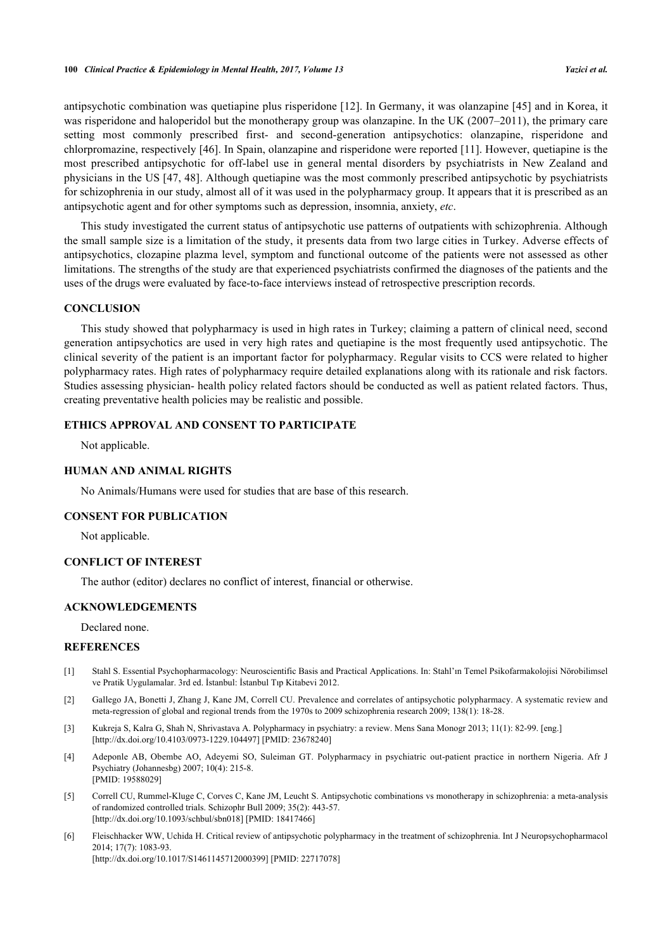antipsychotic combination was quetiapine plus risperidone [\[12](#page-9-5)]. In Germany, it was olanzapine [\[45\]](#page-10-15) and in Korea, it was risperidone and haloperidol but the monotherapy group was olanzapine. In the UK (2007–2011), the primary care setting most commonly prescribed first- and second-generation antipsychotics: olanzapine, risperidone and chlorpromazine, respectively [[46](#page-10-16)]. In Spain, olanzapine and risperidone were reported [\[11](#page-9-4)]. However, quetiapine is the most prescribed antipsychotic for off-label use in general mental disorders by psychiatrists in New Zealand and physicians in the US [[47](#page-10-17), [48\]](#page-11-0). Although quetiapine was the most commonly prescribed antipsychotic by psychiatrists for schizophrenia in our study, almost all of it was used in the polypharmacy group. It appears that it is prescribed as an antipsychotic agent and for other symptoms such as depression, insomnia, anxiety, *etc*.

This study investigated the current status of antipsychotic use patterns of outpatients with schizophrenia. Although the small sample size is a limitation of the study, it presents data from two large cities in Turkey. Adverse effects of antipsychotics, clozapine plazma level, symptom and functional outcome of the patients were not assessed as other limitations. The strengths of the study are that experienced psychiatrists confirmed the diagnoses of the patients and the uses of the drugs were evaluated by face-to-face interviews instead of retrospective prescription records.

#### **CONCLUSION**

This study showed that polypharmacy is used in high rates in Turkey; claiming a pattern of clinical need, second generation antipsychotics are used in very high rates and quetiapine is the most frequently used antipsychotic. The clinical severity of the patient is an important factor for polypharmacy. Regular visits to CCS were related to higher polypharmacy rates. High rates of polypharmacy require detailed explanations along with its rationale and risk factors. Studies assessing physician- health policy related factors should be conducted as well as patient related factors. Thus, creating preventative health policies may be realistic and possible.

### **ETHICS APPROVAL AND CONSENT TO PARTICIPATE**

Not applicable.

#### **HUMAN AND ANIMAL RIGHTS**

No Animals/Humans were used for studies that are base of this research.

#### **CONSENT FOR PUBLICATION**

Not applicable.

#### **CONFLICT OF INTEREST**

The author (editor) declares no conflict of interest, financial or otherwise.

#### **ACKNOWLEDGEMENTS**

Declared none.

#### **REFERENCES**

- <span id="page-8-0"></span>[1] Stahl S. Essential Psychopharmacology: Neuroscientific Basis and Practical Applications. In: Stahl'ın Temel Psikofarmakolojisi Nörobilimsel ve Pratik Uygulamalar. 3rd ed. İstanbul: İstanbul Tıp Kitabevi 2012.
- <span id="page-8-1"></span>[2] Gallego JA, Bonetti J, Zhang J, Kane JM, Correll CU. Prevalence and correlates of antipsychotic polypharmacy. A systematic review and meta-regression of global and regional trends from the 1970s to 2009 schizophrenia research 2009; 138(1): 18-28.
- <span id="page-8-2"></span>[3] Kukreja S, Kalra G, Shah N, Shrivastava A. Polypharmacy in psychiatry: a review. Mens Sana Monogr 2013; 11(1): 82-99. [eng.] [\[http://dx.doi.org/10.4103/0973-1229.104497](http://dx.doi.org/10.4103/0973-1229.104497)] [PMID: [23678240](http://www.ncbi.nlm.nih.gov/pubmed/23678240)]
- <span id="page-8-3"></span>[4] Adeponle AB, Obembe AO, Adeyemi SO, Suleiman GT. Polypharmacy in psychiatric out-patient practice in northern Nigeria. Afr J Psychiatry (Johannesbg) 2007; 10(4): 215-8. [PMID: [19588029\]](http://www.ncbi.nlm.nih.gov/pubmed/19588029)
- [5] Correll CU, Rummel-Kluge C, Corves C, Kane JM, Leucht S. Antipsychotic combinations vs monotherapy in schizophrenia: a meta-analysis of randomized controlled trials. Schizophr Bull 2009; 35(2): 443-57. [\[http://dx.doi.org/10.1093/schbul/sbn018](http://dx.doi.org/10.1093/schbul/sbn018)] [PMID: [18417466\]](http://www.ncbi.nlm.nih.gov/pubmed/18417466)
- <span id="page-8-4"></span>[6] Fleischhacker WW, Uchida H. Critical review of antipsychotic polypharmacy in the treatment of schizophrenia. Int J Neuropsychopharmacol 2014; 17(7): 1083-93. [\[http://dx.doi.org/10.1017/S1461145712000399](http://dx.doi.org/10.1017/S1461145712000399)] [PMID: [22717078\]](http://www.ncbi.nlm.nih.gov/pubmed/22717078)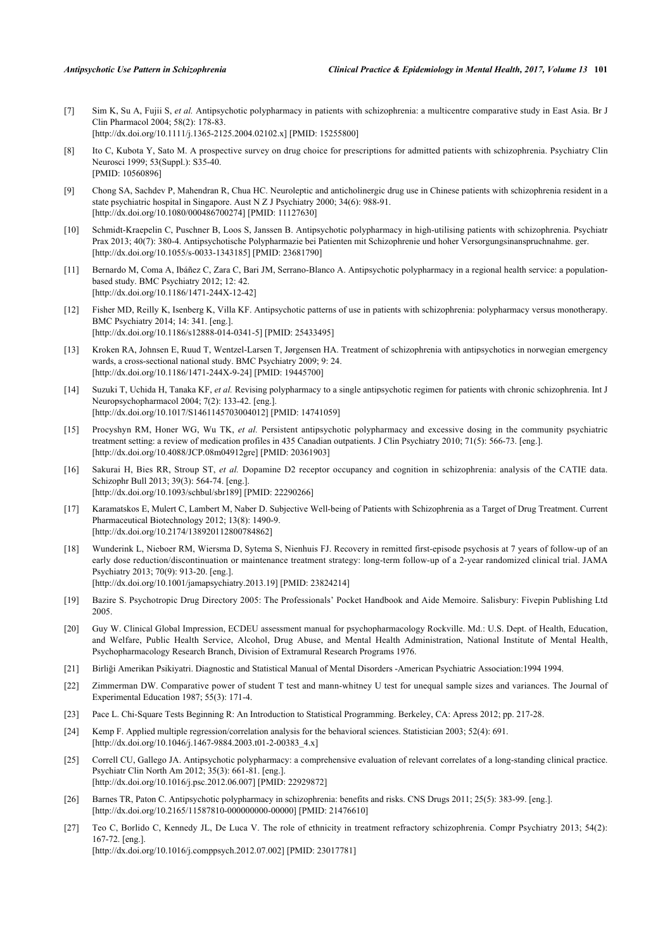- <span id="page-9-0"></span>[7] Sim K, Su A, Fujii S, *et al.* Antipsychotic polypharmacy in patients with schizophrenia: a multicentre comparative study in East Asia. Br J Clin Pharmacol 2004; 58(2): 178-83. [\[http://dx.doi.org/10.1111/j.1365-2125.2004.02102.x\]](http://dx.doi.org/10.1111/j.1365-2125.2004.02102.x) [PMID: [15255800](http://www.ncbi.nlm.nih.gov/pubmed/15255800)]
- <span id="page-9-1"></span>[8] Ito C, Kubota Y, Sato M. A prospective survey on drug choice for prescriptions for admitted patients with schizophrenia. Psychiatry Clin Neurosci 1999; 53(Suppl.): S35-40. [PMID: [10560896\]](http://www.ncbi.nlm.nih.gov/pubmed/10560896)
- <span id="page-9-2"></span>[9] Chong SA, Sachdev P, Mahendran R, Chua HC. Neuroleptic and anticholinergic drug use in Chinese patients with schizophrenia resident in a state psychiatric hospital in Singapore. Aust N Z J Psychiatry 2000; 34(6): 988-91. [\[http://dx.doi.org/10.1080/000486700274\]](http://dx.doi.org/10.1080/000486700274) [PMID: [11127630](http://www.ncbi.nlm.nih.gov/pubmed/11127630)]
- <span id="page-9-3"></span>[10] Schmidt-Kraepelin C, Puschner B, Loos S, Janssen B. Antipsychotic polypharmacy in high-utilising patients with schizophrenia. Psychiatr Prax 2013; 40(7): 380-4. Antipsychotische Polypharmazie bei Patienten mit Schizophrenie und hoher Versorgungsinanspruchnahme. ger. [\[http://dx.doi.org/10.1055/s-0033-1343185](http://dx.doi.org/10.1055/s-0033-1343185)] [PMID: [23681790\]](http://www.ncbi.nlm.nih.gov/pubmed/23681790)
- <span id="page-9-4"></span>[11] Bernardo M, Coma A, Ibáñez C, Zara C, Bari JM, Serrano-Blanco A. Antipsychotic polypharmacy in a regional health service: a populationbased study. BMC Psychiatry 2012; 12: 42. [\[http://dx.doi.org/10.1186/1471-244X-12-42\]](http://dx.doi.org/10.1186/1471-244X-12-42)
- <span id="page-9-5"></span>[12] Fisher MD, Reilly K, Isenberg K, Villa KF. Antipsychotic patterns of use in patients with schizophrenia: polypharmacy versus monotherapy. BMC Psychiatry 2014; 14: 341. [eng.]. [\[http://dx.doi.org/10.1186/s12888-014-0341-5\]](http://dx.doi.org/10.1186/s12888-014-0341-5) [PMID: [25433495](http://www.ncbi.nlm.nih.gov/pubmed/25433495)]
- <span id="page-9-6"></span>[13] Kroken RA, Johnsen E, Ruud T, Wentzel-Larsen T, Jørgensen HA. Treatment of schizophrenia with antipsychotics in norwegian emergency wards, a cross-sectional national study. BMC Psychiatry 2009; 9: 24. [\[http://dx.doi.org/10.1186/1471-244X-9-24\]](http://dx.doi.org/10.1186/1471-244X-9-24) [PMID: [19445700](http://www.ncbi.nlm.nih.gov/pubmed/19445700)]
- <span id="page-9-7"></span>[14] Suzuki T, Uchida H, Tanaka KF, *et al.* Revising polypharmacy to a single antipsychotic regimen for patients with chronic schizophrenia. Int J Neuropsychopharmacol 2004; 7(2): 133-42. [eng.]. [\[http://dx.doi.org/10.1017/S1461145703004012](http://dx.doi.org/10.1017/S1461145703004012)] [PMID: [14741059\]](http://www.ncbi.nlm.nih.gov/pubmed/14741059)
- <span id="page-9-8"></span>[15] Procyshyn RM, Honer WG, Wu TK, *et al.* Persistent antipsychotic polypharmacy and excessive dosing in the community psychiatric treatment setting: a review of medication profiles in 435 Canadian outpatients. J Clin Psychiatry 2010; 71(5): 566-73. [eng.]. [\[http://dx.doi.org/10.4088/JCP.08m04912gre](http://dx.doi.org/10.4088/JCP.08m04912gre)] [PMID: [20361903\]](http://www.ncbi.nlm.nih.gov/pubmed/20361903)
- <span id="page-9-9"></span>[16] Sakurai H, Bies RR, Stroup ST, *et al.* Dopamine D2 receptor occupancy and cognition in schizophrenia: analysis of the CATIE data. Schizophr Bull 2013; 39(3): 564-74. [eng.]. [\[http://dx.doi.org/10.1093/schbul/sbr189\]](http://dx.doi.org/10.1093/schbul/sbr189) [PMID: [22290266](http://www.ncbi.nlm.nih.gov/pubmed/22290266)]
- <span id="page-9-10"></span>[17] Karamatskos E, Mulert C, Lambert M, Naber D. Subjective Well-being of Patients with Schizophrenia as a Target of Drug Treatment. Current Pharmaceutical Biotechnology 2012; 13(8): 1490-9. [\[http://dx.doi.org/10.2174/138920112800784862\]](http://dx.doi.org/10.2174/138920112800784862)
- <span id="page-9-11"></span>[18] Wunderink L, Nieboer RM, Wiersma D, Sytema S, Nienhuis FJ. Recovery in remitted first-episode psychosis at 7 years of follow-up of an early dose reduction/discontinuation or maintenance treatment strategy: long-term follow-up of a 2-year randomized clinical trial. JAMA Psychiatry 2013; 70(9): 913-20. [eng.]. [\[http://dx.doi.org/10.1001/jamapsychiatry.2013.19\]](http://dx.doi.org/10.1001/jamapsychiatry.2013.19) [PMID: [23824214](http://www.ncbi.nlm.nih.gov/pubmed/23824214)]
- <span id="page-9-12"></span>[19] Bazire S. Psychotropic Drug Directory 2005: The Professionals' Pocket Handbook and Aide Memoire. Salisbury: Fivepin Publishing Ltd 2005.
- <span id="page-9-13"></span>[20] Guy W. Clinical Global Impression, ECDEU assessment manual for psychopharmacology Rockville. Md.: U.S. Dept. of Health, Education, and Welfare, Public Health Service, Alcohol, Drug Abuse, and Mental Health Administration, National Institute of Mental Health, Psychopharmacology Research Branch, Division of Extramural Research Programs 1976.
- <span id="page-9-14"></span>[21] Birliği Amerikan Psikiyatri. Diagnostic and Statistical Manual of Mental Disorders -American Psychiatric Association:1994 1994.
- <span id="page-9-15"></span>[22] Zimmerman DW. Comparative power of student T test and mann-whitney U test for unequal sample sizes and variances. The Journal of Experimental Education 1987; 55(3): 171-4.
- <span id="page-9-16"></span>[23] Pace L. Chi-Square Tests Beginning R: An Introduction to Statistical Programming. Berkeley, CA: Apress 2012; pp. 217-28.
- <span id="page-9-17"></span>[24] Kemp F. Applied multiple regression/correlation analysis for the behavioral sciences. Statistician 2003; 52(4): 691. [\[http://dx.doi.org/10.1046/j.1467-9884.2003.t01-2-00383\\_4.x](http://dx.doi.org/10.1046/j.1467-9884.2003.t01-2-00383_4.x)]
- <span id="page-9-18"></span>[25] Correll CU, Gallego JA. Antipsychotic polypharmacy: a comprehensive evaluation of relevant correlates of a long-standing clinical practice. Psychiatr Clin North Am 2012; 35(3): 661-81. [eng.]. [\[http://dx.doi.org/10.1016/j.psc.2012.06.007\]](http://dx.doi.org/10.1016/j.psc.2012.06.007) [PMID: [22929872](http://www.ncbi.nlm.nih.gov/pubmed/22929872)]
- <span id="page-9-19"></span>[26] Barnes TR, Paton C. Antipsychotic polypharmacy in schizophrenia: benefits and risks. CNS Drugs 2011; 25(5): 383-99. [eng.]. [\[http://dx.doi.org/10.2165/11587810-000000000-00000](http://dx.doi.org/10.2165/11587810-000000000-00000)] [PMID: [21476610\]](http://www.ncbi.nlm.nih.gov/pubmed/21476610)
- <span id="page-9-20"></span>[27] Teo C, Borlido C, Kennedy JL, De Luca V. The role of ethnicity in treatment refractory schizophrenia. Compr Psychiatry 2013; 54(2): 167-72. [eng.]. [\[http://dx.doi.org/10.1016/j.comppsych.2012.07.002](http://dx.doi.org/10.1016/j.comppsych.2012.07.002)] [PMID: [23017781](http://www.ncbi.nlm.nih.gov/pubmed/23017781)]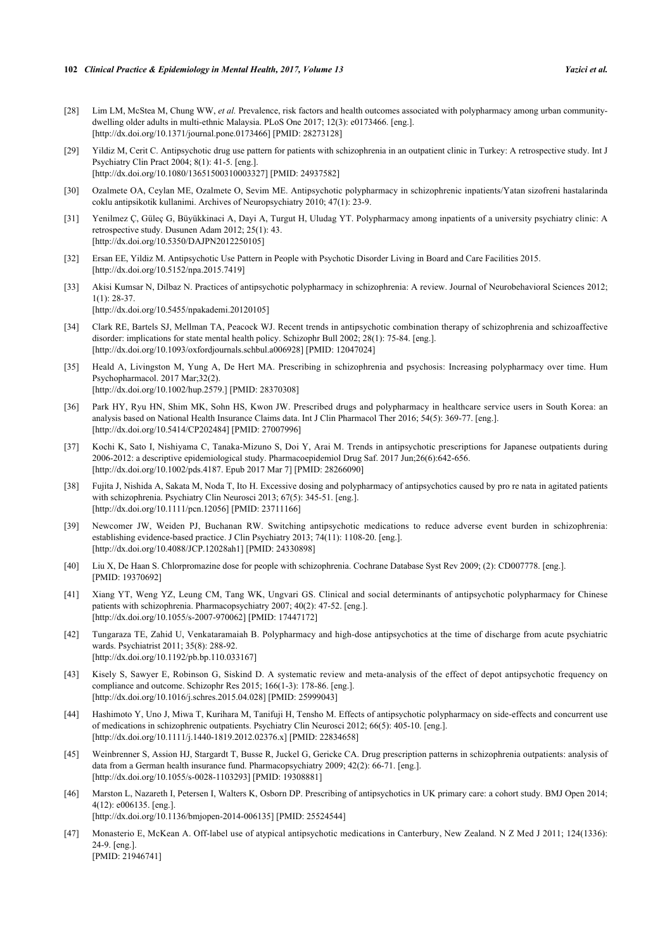- <span id="page-10-0"></span>[28] Lim LM, McStea M, Chung WW, *et al.* Prevalence, risk factors and health outcomes associated with polypharmacy among urban communitydwelling older adults in multi-ethnic Malaysia. PLoS One 2017; 12(3): e0173466. [eng.]. [\[http://dx.doi.org/10.1371/journal.pone.0173466](http://dx.doi.org/10.1371/journal.pone.0173466)] [PMID: [28273128\]](http://www.ncbi.nlm.nih.gov/pubmed/28273128)
- <span id="page-10-1"></span>[29] Yildiz M, Cerit C. Antipsychotic drug use pattern for patients with schizophrenia in an outpatient clinic in Turkey: A retrospective study. Int J Psychiatry Clin Pract 2004; 8(1): 41-5. [eng.]. [\[http://dx.doi.org/10.1080/13651500310003327\]](http://dx.doi.org/10.1080/13651500310003327) [PMID: [24937582](http://www.ncbi.nlm.nih.gov/pubmed/24937582)]
- <span id="page-10-2"></span>[30] Ozalmete OA, Ceylan ME, Ozalmete O, Sevim ME. Antipsychotic polypharmacy in schizophrenic inpatients/Yatan sizofreni hastalarinda coklu antipsikotik kullanimi. Archives of Neuropsychiatry 2010; 47(1): 23-9.
- <span id="page-10-3"></span>[31] Yenilmez Ç, Güleç G, Büyükkinaci A, Dayi A, Turgut H, Uludag YT. Polypharmacy among inpatients of a university psychiatry clinic: A retrospective study. Dusunen Adam 2012; 25(1): 43. [\[http://dx.doi.org/10.5350/DAJPN2012250105\]](http://dx.doi.org/10.5350/DAJPN2012250105)
- <span id="page-10-4"></span>[32] Ersan EE, Yildiz M. Antipsychotic Use Pattern in People with Psychotic Disorder Living in Board and Care Facilities 2015. [\[http://dx.doi.org/10.5152/npa.2015.7419](http://dx.doi.org/10.5152/npa.2015.7419)]
- <span id="page-10-5"></span>[33] Akisi Kumsar N, Dilbaz N. Practices of antipsychotic polypharmacy in schizophrenia: A review. Journal of Neurobehavioral Sciences 2012; 1(1): 28-37. [\[http://dx.doi.org/10.5455/npakademi.20120105\]](http://dx.doi.org/10.5455/npakademi.20120105)
- [34] Clark RE, Bartels SJ, Mellman TA, Peacock WJ. Recent trends in antipsychotic combination therapy of schizophrenia and schizoaffective disorder: implications for state mental health policy. Schizophr Bull 2002; 28(1): 75-84. [eng.]. [\[http://dx.doi.org/10.1093/oxfordjournals.schbul.a006928](http://dx.doi.org/10.1093/oxfordjournals.schbul.a006928)] [PMID: [12047024\]](http://www.ncbi.nlm.nih.gov/pubmed/12047024)
- [35] Heald A, Livingston M, Yung A, De Hert MA. Prescribing in schizophrenia and psychosis: Increasing polypharmacy over time. Hum Psychopharmacol. 2017 Mar;32(2). [\[http://dx.doi.org/10.1002/hup.2579.\]](http://dx.doi.org/10.1002/hup.2579.) [PMID: [28370308](http://www.ncbi.nlm.nih.gov/pubmed/28370308)]
- <span id="page-10-6"></span>[36] Park HY, Ryu HN, Shim MK, Sohn HS, Kwon JW. Prescribed drugs and polypharmacy in healthcare service users in South Korea: an analysis based on National Health Insurance Claims data. Int J Clin Pharmacol Ther 2016; 54(5): 369-77. [eng.]. [\[http://dx.doi.org/10.5414/CP202484\]](http://dx.doi.org/10.5414/CP202484) [PMID: [27007996](http://www.ncbi.nlm.nih.gov/pubmed/27007996)]
- <span id="page-10-7"></span>[37] Kochi K, Sato I, Nishiyama C, Tanaka-Mizuno S, Doi Y, Arai M. Trends in antipsychotic prescriptions for Japanese outpatients during 2006-2012: a descriptive epidemiological study. Pharmacoepidemiol Drug Saf. 2017 Jun;26(6):642-656. [\[http://dx.doi.org/10.1002/pds.4187. Epub 2017 Mar 7](http://dx.doi.org/10.1002/pds.4187.%20Epub%202017%20Mar%207)] [PMID: [28266090\]](http://www.ncbi.nlm.nih.gov/pubmed/28266090)
- <span id="page-10-8"></span>[38] Fujita J, Nishida A, Sakata M, Noda T, Ito H. Excessive dosing and polypharmacy of antipsychotics caused by pro re nata in agitated patients with schizophrenia. Psychiatry Clin Neurosci 2013; 67(5): 345-51. [eng.]. [\[http://dx.doi.org/10.1111/pcn.12056](http://dx.doi.org/10.1111/pcn.12056)] [PMID: [23711166\]](http://www.ncbi.nlm.nih.gov/pubmed/23711166)
- <span id="page-10-9"></span>[39] Newcomer JW, Weiden PJ, Buchanan RW. Switching antipsychotic medications to reduce adverse event burden in schizophrenia: establishing evidence-based practice. J Clin Psychiatry 2013; 74(11): 1108-20. [eng.]. [\[http://dx.doi.org/10.4088/JCP.12028ah1](http://dx.doi.org/10.4088/JCP.12028ah1)] [PMID: [24330898\]](http://www.ncbi.nlm.nih.gov/pubmed/24330898)
- <span id="page-10-10"></span>[40] Liu X, De Haan S. Chlorpromazine dose for people with schizophrenia. Cochrane Database Syst Rev 2009; (2): CD007778. [eng.]. [PMID: [19370692\]](http://www.ncbi.nlm.nih.gov/pubmed/19370692)
- <span id="page-10-11"></span>[41] Xiang YT, Weng YZ, Leung CM, Tang WK, Ungvari GS. Clinical and social determinants of antipsychotic polypharmacy for Chinese patients with schizophrenia. Pharmacopsychiatry 2007; 40(2): 47-52. [eng.]. [\[http://dx.doi.org/10.1055/s-2007-970062](http://dx.doi.org/10.1055/s-2007-970062)] [PMID: [17447172\]](http://www.ncbi.nlm.nih.gov/pubmed/17447172)
- <span id="page-10-12"></span>[42] Tungaraza TE, Zahid U, Venkataramaiah B. Polypharmacy and high-dose antipsychotics at the time of discharge from acute psychiatric wards. Psychiatrist 2011; 35(8): 288-92. [\[http://dx.doi.org/10.1192/pb.bp.110.033167\]](http://dx.doi.org/10.1192/pb.bp.110.033167)
- <span id="page-10-13"></span>[43] Kisely S, Sawyer E, Robinson G, Siskind D. A systematic review and meta-analysis of the effect of depot antipsychotic frequency on compliance and outcome. Schizophr Res 2015; 166(1-3): 178-86. [eng.]. [\[http://dx.doi.org/10.1016/j.schres.2015.04.028](http://dx.doi.org/10.1016/j.schres.2015.04.028)] [PMID: [25999043\]](http://www.ncbi.nlm.nih.gov/pubmed/25999043)
- <span id="page-10-14"></span>[44] Hashimoto Y, Uno J, Miwa T, Kurihara M, Tanifuji H, Tensho M. Effects of antipsychotic polypharmacy on side-effects and concurrent use of medications in schizophrenic outpatients. Psychiatry Clin Neurosci 2012; 66(5): 405-10. [eng.]. [\[http://dx.doi.org/10.1111/j.1440-1819.2012.02376.x\]](http://dx.doi.org/10.1111/j.1440-1819.2012.02376.x) [PMID: [22834658](http://www.ncbi.nlm.nih.gov/pubmed/22834658)]
- <span id="page-10-15"></span>[45] Weinbrenner S, Assion HJ, Stargardt T, Busse R, Juckel G, Gericke CA. Drug prescription patterns in schizophrenia outpatients: analysis of data from a German health insurance fund. Pharmacopsychiatry 2009; 42(2): 66-71. [eng.]. [\[http://dx.doi.org/10.1055/s-0028-1103293](http://dx.doi.org/10.1055/s-0028-1103293)] [PMID: [19308881\]](http://www.ncbi.nlm.nih.gov/pubmed/19308881)
- <span id="page-10-16"></span>[46] Marston L, Nazareth I, Petersen I, Walters K, Osborn DP. Prescribing of antipsychotics in UK primary care: a cohort study. BMJ Open 2014; 4(12): e006135. [eng.]. [\[http://dx.doi.org/10.1136/bmjopen-2014-006135](http://dx.doi.org/10.1136/bmjopen-2014-006135)] [PMID: [25524544\]](http://www.ncbi.nlm.nih.gov/pubmed/25524544)
- <span id="page-10-17"></span>[47] Monasterio E, McKean A. Off-label use of atypical antipsychotic medications in Canterbury, New Zealand. N Z Med J 2011; 124(1336): 24-9. [eng.]. [PMID: [21946741\]](http://www.ncbi.nlm.nih.gov/pubmed/21946741)